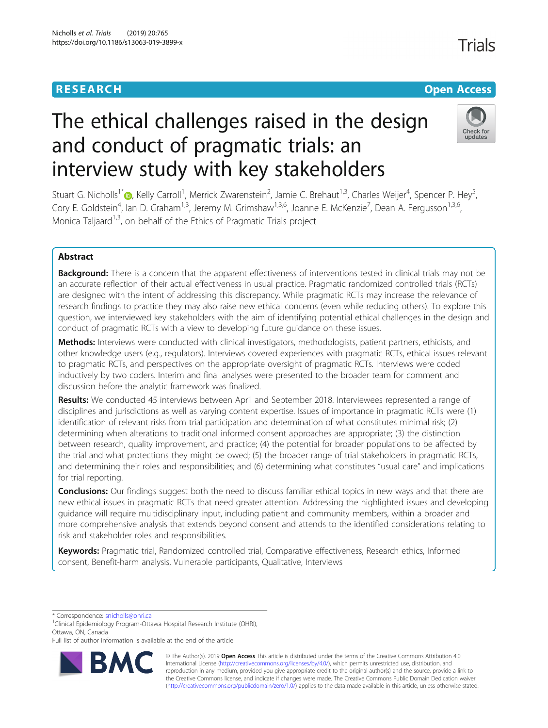# **RESEARCH CHE Open Access**

# The ethical challenges raised in the design and conduct of pragmatic trials: an interview study with key stakeholders



Stuart G. Nicholls<sup>1\*</sup>®[,](http://orcid.org/0000-0003-0485-9069) Kelly Carroll<sup>1</sup>, Merrick Zwarenstein<sup>2</sup>, Jamie C. Brehaut<sup>1,3</sup>, Charles Weijer<sup>4</sup>, Spencer P. Hey<sup>5</sup> , Cory E. Goldstein<sup>4</sup>, Ian D. Graham<sup>1,3</sup>, Jeremy M. Grimshaw<sup>1,3,6</sup>, Joanne E. McKenzie<sup>7</sup>, Dean A. Fergusson<sup>1,3,6</sup>, Monica Taljaard<sup>1,3</sup>, on behalf of the Ethics of Pragmatic Trials project

## Abstract

**Background:** There is a concern that the apparent effectiveness of interventions tested in clinical trials may not be an accurate reflection of their actual effectiveness in usual practice. Pragmatic randomized controlled trials (RCTs) are designed with the intent of addressing this discrepancy. While pragmatic RCTs may increase the relevance of research findings to practice they may also raise new ethical concerns (even while reducing others). To explore this question, we interviewed key stakeholders with the aim of identifying potential ethical challenges in the design and conduct of pragmatic RCTs with a view to developing future guidance on these issues.

Methods: Interviews were conducted with clinical investigators, methodologists, patient partners, ethicists, and other knowledge users (e.g., regulators). Interviews covered experiences with pragmatic RCTs, ethical issues relevant to pragmatic RCTs, and perspectives on the appropriate oversight of pragmatic RCTs. Interviews were coded inductively by two coders. Interim and final analyses were presented to the broader team for comment and discussion before the analytic framework was finalized.

Results: We conducted 45 interviews between April and September 2018. Interviewees represented a range of disciplines and jurisdictions as well as varying content expertise. Issues of importance in pragmatic RCTs were (1) identification of relevant risks from trial participation and determination of what constitutes minimal risk; (2) determining when alterations to traditional informed consent approaches are appropriate; (3) the distinction between research, quality improvement, and practice; (4) the potential for broader populations to be affected by the trial and what protections they might be owed; (5) the broader range of trial stakeholders in pragmatic RCTs, and determining their roles and responsibilities; and (6) determining what constitutes "usual care" and implications for trial reporting.

Conclusions: Our findings suggest both the need to discuss familiar ethical topics in new ways and that there are new ethical issues in pragmatic RCTs that need greater attention. Addressing the highlighted issues and developing guidance will require multidisciplinary input, including patient and community members, within a broader and more comprehensive analysis that extends beyond consent and attends to the identified considerations relating to risk and stakeholder roles and responsibilities.

Keywords: Pragmatic trial, Randomized controlled trial, Comparative effectiveness, Research ethics, Informed consent, Benefit-harm analysis, Vulnerable participants, Qualitative, Interviews

\* Correspondence: [snicholls@ohri.ca](mailto:snicholls@ohri.ca) <sup>1</sup>

Clinical Epidemiology Program-Ottawa Hospital Research Institute (OHRI), Ottawa, ON, Canada

Full list of author information is available at the end of the article



© The Author(s). 2019 **Open Access** This article is distributed under the terms of the Creative Commons Attribution 4.0 International License [\(http://creativecommons.org/licenses/by/4.0/](http://creativecommons.org/licenses/by/4.0/)), which permits unrestricted use, distribution, and reproduction in any medium, provided you give appropriate credit to the original author(s) and the source, provide a link to the Creative Commons license, and indicate if changes were made. The Creative Commons Public Domain Dedication waiver [\(http://creativecommons.org/publicdomain/zero/1.0/](http://creativecommons.org/publicdomain/zero/1.0/)) applies to the data made available in this article, unless otherwise stated.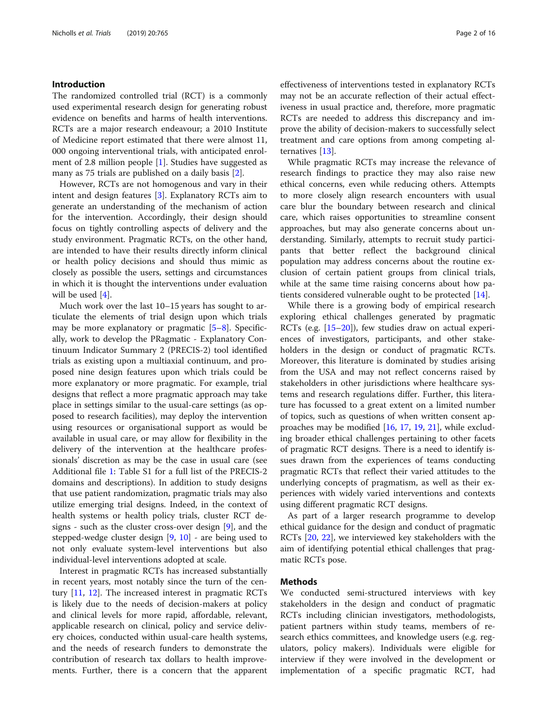## Introduction

The randomized controlled trial (RCT) is a commonly used experimental research design for generating robust evidence on benefits and harms of health interventions. RCTs are a major research endeavour; a 2010 Institute of Medicine report estimated that there were almost 11, 000 ongoing interventional trials, with anticipated enrolment of 2.8 million people [\[1](#page-13-0)]. Studies have suggested as many as 75 trials are published on a daily basis [\[2](#page-13-0)].

However, RCTs are not homogenous and vary in their intent and design features [\[3](#page-13-0)]. Explanatory RCTs aim to generate an understanding of the mechanism of action for the intervention. Accordingly, their design should focus on tightly controlling aspects of delivery and the study environment. Pragmatic RCTs, on the other hand, are intended to have their results directly inform clinical or health policy decisions and should thus mimic as closely as possible the users, settings and circumstances in which it is thought the interventions under evaluation will be used [\[4](#page-13-0)].

Much work over the last 10–15 years has sought to articulate the elements of trial design upon which trials may be more explanatory or pragmatic  $[5-8]$  $[5-8]$  $[5-8]$ . Specifically, work to develop the PRagmatic - Explanatory Continuum Indicator Summary 2 (PRECIS-2) tool identified trials as existing upon a multiaxial continuum, and proposed nine design features upon which trials could be more explanatory or more pragmatic. For example, trial designs that reflect a more pragmatic approach may take place in settings similar to the usual-care settings (as opposed to research facilities), may deploy the intervention using resources or organisational support as would be available in usual care, or may allow for flexibility in the delivery of the intervention at the healthcare professionals' discretion as may be the case in usual care (see Additional file [1:](#page-13-0) Table S1 for a full list of the PRECIS-2 domains and descriptions). In addition to study designs that use patient randomization, pragmatic trials may also utilize emerging trial designs. Indeed, in the context of health systems or health policy trials, cluster RCT designs - such as the cluster cross-over design [[9\]](#page-13-0), and the stepped-wedge cluster design [\[9](#page-13-0), [10\]](#page-13-0) - are being used to not only evaluate system-level interventions but also individual-level interventions adopted at scale.

Interest in pragmatic RCTs has increased substantially in recent years, most notably since the turn of the century [\[11](#page-14-0), [12\]](#page-14-0). The increased interest in pragmatic RCTs is likely due to the needs of decision-makers at policy and clinical levels for more rapid, affordable, relevant, applicable research on clinical, policy and service delivery choices, conducted within usual-care health systems, and the needs of research funders to demonstrate the contribution of research tax dollars to health improvements. Further, there is a concern that the apparent effectiveness of interventions tested in explanatory RCTs may not be an accurate reflection of their actual effectiveness in usual practice and, therefore, more pragmatic RCTs are needed to address this discrepancy and improve the ability of decision-makers to successfully select treatment and care options from among competing alternatives [\[13](#page-14-0)].

While pragmatic RCTs may increase the relevance of research findings to practice they may also raise new ethical concerns, even while reducing others. Attempts to more closely align research encounters with usual care blur the boundary between research and clinical care, which raises opportunities to streamline consent approaches, but may also generate concerns about understanding. Similarly, attempts to recruit study participants that better reflect the background clinical population may address concerns about the routine exclusion of certain patient groups from clinical trials, while at the same time raising concerns about how patients considered vulnerable ought to be protected [[14](#page-14-0)].

While there is a growing body of empirical research exploring ethical challenges generated by pragmatic RCTs (e.g. [\[15](#page-14-0)–[20\]](#page-14-0)), few studies draw on actual experiences of investigators, participants, and other stakeholders in the design or conduct of pragmatic RCTs. Moreover, this literature is dominated by studies arising from the USA and may not reflect concerns raised by stakeholders in other jurisdictions where healthcare systems and research regulations differ. Further, this literature has focussed to a great extent on a limited number of topics, such as questions of when written consent approaches may be modified [[16](#page-14-0), [17,](#page-14-0) [19,](#page-14-0) [21\]](#page-14-0), while excluding broader ethical challenges pertaining to other facets of pragmatic RCT designs. There is a need to identify issues drawn from the experiences of teams conducting pragmatic RCTs that reflect their varied attitudes to the underlying concepts of pragmatism, as well as their experiences with widely varied interventions and contexts using different pragmatic RCT designs.

As part of a larger research programme to develop ethical guidance for the design and conduct of pragmatic RCTs [\[20](#page-14-0), [22](#page-14-0)], we interviewed key stakeholders with the aim of identifying potential ethical challenges that pragmatic RCTs pose.

## Methods

We conducted semi-structured interviews with key stakeholders in the design and conduct of pragmatic RCTs including clinician investigators, methodologists, patient partners within study teams, members of research ethics committees, and knowledge users (e.g. regulators, policy makers). Individuals were eligible for interview if they were involved in the development or implementation of a specific pragmatic RCT, had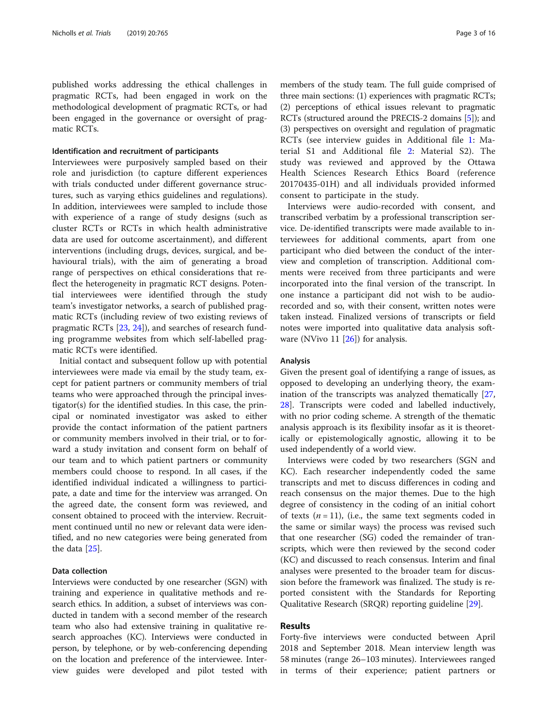published works addressing the ethical challenges in pragmatic RCTs, had been engaged in work on the methodological development of pragmatic RCTs, or had been engaged in the governance or oversight of pragmatic RCTs.

## Identification and recruitment of participants

Interviewees were purposively sampled based on their role and jurisdiction (to capture different experiences with trials conducted under different governance structures, such as varying ethics guidelines and regulations). In addition, interviewees were sampled to include those with experience of a range of study designs (such as cluster RCTs or RCTs in which health administrative data are used for outcome ascertainment), and different interventions (including drugs, devices, surgical, and behavioural trials), with the aim of generating a broad range of perspectives on ethical considerations that reflect the heterogeneity in pragmatic RCT designs. Potential interviewees were identified through the study team's investigator networks, a search of published pragmatic RCTs (including review of two existing reviews of pragmatic RCTs [\[23](#page-14-0), [24](#page-14-0)]), and searches of research funding programme websites from which self-labelled pragmatic RCTs were identified.

Initial contact and subsequent follow up with potential interviewees were made via email by the study team, except for patient partners or community members of trial teams who were approached through the principal investigator(s) for the identified studies. In this case, the principal or nominated investigator was asked to either provide the contact information of the patient partners or community members involved in their trial, or to forward a study invitation and consent form on behalf of our team and to which patient partners or community members could choose to respond. In all cases, if the identified individual indicated a willingness to participate, a date and time for the interview was arranged. On the agreed date, the consent form was reviewed, and consent obtained to proceed with the interview. Recruitment continued until no new or relevant data were identified, and no new categories were being generated from the data [[25\]](#page-14-0).

## Data collection

Interviews were conducted by one researcher (SGN) with training and experience in qualitative methods and research ethics. In addition, a subset of interviews was conducted in tandem with a second member of the research team who also had extensive training in qualitative research approaches (KC). Interviews were conducted in person, by telephone, or by web-conferencing depending on the location and preference of the interviewee. Interview guides were developed and pilot tested with

members of the study team. The full guide comprised of three main sections: (1) experiences with pragmatic RCTs; (2) perceptions of ethical issues relevant to pragmatic RCTs (structured around the PRECIS-2 domains [[5\]](#page-13-0)); and (3) perspectives on oversight and regulation of pragmatic RCTs (see interview guides in Additional file [1](#page-13-0): Material S1 and Additional file [2](#page-13-0): Material S2). The study was reviewed and approved by the Ottawa Health Sciences Research Ethics Board (reference 20170435-01H) and all individuals provided informed consent to participate in the study.

Interviews were audio-recorded with consent, and transcribed verbatim by a professional transcription service. De-identified transcripts were made available to interviewees for additional comments, apart from one participant who died between the conduct of the interview and completion of transcription. Additional comments were received from three participants and were incorporated into the final version of the transcript. In one instance a participant did not wish to be audiorecorded and so, with their consent, written notes were taken instead. Finalized versions of transcripts or field notes were imported into qualitative data analysis software (NVivo 11  $[26]$  $[26]$ ) for analysis.

## Analysis

Given the present goal of identifying a range of issues, as opposed to developing an underlying theory, the examination of the transcripts was analyzed thematically [[27](#page-14-0), [28\]](#page-14-0). Transcripts were coded and labelled inductively, with no prior coding scheme. A strength of the thematic analysis approach is its flexibility insofar as it is theoretically or epistemologically agnostic, allowing it to be used independently of a world view.

Interviews were coded by two researchers (SGN and KC). Each researcher independently coded the same transcripts and met to discuss differences in coding and reach consensus on the major themes. Due to the high degree of consistency in the coding of an initial cohort of texts  $(n = 11)$ , (i.e., the same text segments coded in the same or similar ways) the process was revised such that one researcher (SG) coded the remainder of transcripts, which were then reviewed by the second coder (KC) and discussed to reach consensus. Interim and final analyses were presented to the broader team for discussion before the framework was finalized. The study is reported consistent with the Standards for Reporting Qualitative Research (SRQR) reporting guideline [[29\]](#page-14-0).

## Results

Forty-five interviews were conducted between April 2018 and September 2018. Mean interview length was 58 minutes (range 26–103 minutes). Interviewees ranged in terms of their experience; patient partners or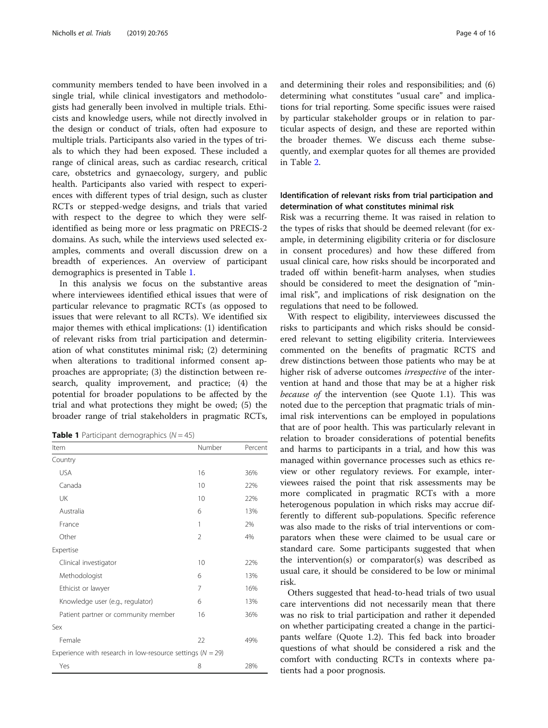community members tended to have been involved in a single trial, while clinical investigators and methodologists had generally been involved in multiple trials. Ethicists and knowledge users, while not directly involved in the design or conduct of trials, often had exposure to multiple trials. Participants also varied in the types of trials to which they had been exposed. These included a range of clinical areas, such as cardiac research, critical care, obstetrics and gynaecology, surgery, and public health. Participants also varied with respect to experiences with different types of trial design, such as cluster RCTs or stepped-wedge designs, and trials that varied with respect to the degree to which they were selfidentified as being more or less pragmatic on PRECIS-2 domains. As such, while the interviews used selected examples, comments and overall discussion drew on a breadth of experiences. An overview of participant demographics is presented in Table 1.

In this analysis we focus on the substantive areas where interviewees identified ethical issues that were of particular relevance to pragmatic RCTs (as opposed to issues that were relevant to all RCTs). We identified six major themes with ethical implications: (1) identification of relevant risks from trial participation and determination of what constitutes minimal risk; (2) determining when alterations to traditional informed consent approaches are appropriate; (3) the distinction between research, quality improvement, and practice; (4) the potential for broader populations to be affected by the trial and what protections they might be owed; (5) the broader range of trial stakeholders in pragmatic RCTs,

**Table 1** Participant demographics  $(N = 45)$ 

| Item                                                           | Number         | Percent |
|----------------------------------------------------------------|----------------|---------|
| Country                                                        |                |         |
| <b>USA</b>                                                     | 16             | 36%     |
| Canada                                                         | 10             | 22%     |
| UK                                                             | 10             | 22%     |
| Australia                                                      | 6              | 13%     |
| France                                                         | 1              | 2%      |
| Other                                                          | $\mathfrak{D}$ | 4%      |
| Expertise                                                      |                |         |
| Clinical investigator                                          | 10             | 22%     |
| Methodologist                                                  | 6              | 13%     |
| Ethicist or lawyer                                             | 7              | 16%     |
| Knowledge user (e.g., regulator)                               | 6              | 13%     |
| Patient partner or community member                            | 16             | 36%     |
| Sex                                                            |                |         |
| Female                                                         | 22             | 49%     |
| Experience with research in low-resource settings ( $N = 29$ ) |                |         |
| Yes                                                            | 8              | 28%     |

and determining their roles and responsibilities; and (6) determining what constitutes "usual care" and implications for trial reporting. Some specific issues were raised by particular stakeholder groups or in relation to particular aspects of design, and these are reported within the broader themes. We discuss each theme subsequently, and exemplar quotes for all themes are provided in Table [2.](#page-4-0)

## Identification of relevant risks from trial participation and determination of what constitutes minimal risk

Risk was a recurring theme. It was raised in relation to the types of risks that should be deemed relevant (for example, in determining eligibility criteria or for disclosure in consent procedures) and how these differed from usual clinical care, how risks should be incorporated and traded off within benefit-harm analyses, when studies should be considered to meet the designation of "minimal risk", and implications of risk designation on the regulations that need to be followed.

With respect to eligibility, interviewees discussed the risks to participants and which risks should be considered relevant to setting eligibility criteria. Interviewees commented on the benefits of pragmatic RCTS and drew distinctions between those patients who may be at higher risk of adverse outcomes irrespective of the intervention at hand and those that may be at a higher risk because of the intervention (see Quote 1.1). This was noted due to the perception that pragmatic trials of minimal risk interventions can be employed in populations that are of poor health. This was particularly relevant in relation to broader considerations of potential benefits and harms to participants in a trial, and how this was managed within governance processes such as ethics review or other regulatory reviews. For example, interviewees raised the point that risk assessments may be more complicated in pragmatic RCTs with a more heterogenous population in which risks may accrue differently to different sub-populations. Specific reference was also made to the risks of trial interventions or comparators when these were claimed to be usual care or standard care. Some participants suggested that when the intervention(s) or comparator(s) was described as usual care, it should be considered to be low or minimal risk.

Others suggested that head-to-head trials of two usual care interventions did not necessarily mean that there was no risk to trial participation and rather it depended on whether participating created a change in the participants welfare (Quote 1.2). This fed back into broader questions of what should be considered a risk and the comfort with conducting RCTs in contexts where patients had a poor prognosis.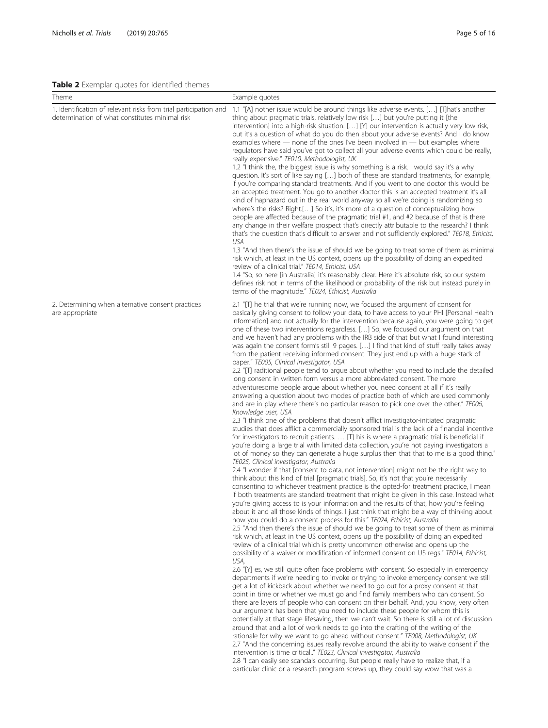<span id="page-4-0"></span>Table 2 Exemplar quotes for identified themes

| Theme                                                                                                              | Example quotes                                                                                                                                                                                                                                                                                                                                                                                                                                                                                                                                                                                                                                                                                                                                                                                                                                                                                                                                                                                                                                                                                                                                                                                                                                                                                                                                                                                                                                                                                                                                                                                                                                                                                                                                                                                                                                                                                                                                                                                                                                                                                                                                                                                                                                                                                                                                                                                                                                                                                                                                                                                                                                                                                                                                                                                                                                                                                                                                                                                                                                                                                                                                                                                                                                                                                                                                                                                                                                                                                                                                                                                                                                                                                                                                                                                                                                                                         |
|--------------------------------------------------------------------------------------------------------------------|----------------------------------------------------------------------------------------------------------------------------------------------------------------------------------------------------------------------------------------------------------------------------------------------------------------------------------------------------------------------------------------------------------------------------------------------------------------------------------------------------------------------------------------------------------------------------------------------------------------------------------------------------------------------------------------------------------------------------------------------------------------------------------------------------------------------------------------------------------------------------------------------------------------------------------------------------------------------------------------------------------------------------------------------------------------------------------------------------------------------------------------------------------------------------------------------------------------------------------------------------------------------------------------------------------------------------------------------------------------------------------------------------------------------------------------------------------------------------------------------------------------------------------------------------------------------------------------------------------------------------------------------------------------------------------------------------------------------------------------------------------------------------------------------------------------------------------------------------------------------------------------------------------------------------------------------------------------------------------------------------------------------------------------------------------------------------------------------------------------------------------------------------------------------------------------------------------------------------------------------------------------------------------------------------------------------------------------------------------------------------------------------------------------------------------------------------------------------------------------------------------------------------------------------------------------------------------------------------------------------------------------------------------------------------------------------------------------------------------------------------------------------------------------------------------------------------------------------------------------------------------------------------------------------------------------------------------------------------------------------------------------------------------------------------------------------------------------------------------------------------------------------------------------------------------------------------------------------------------------------------------------------------------------------------------------------------------------------------------------------------------------------------------------------------------------------------------------------------------------------------------------------------------------------------------------------------------------------------------------------------------------------------------------------------------------------------------------------------------------------------------------------------------------------------------------------------------------------------------------------------------------|
| 1. Identification of relevant risks from trial participation and<br>determination of what constitutes minimal risk | 1.1 "[A] nother issue would be around things like adverse events. [] [T]hat's another<br>thing about pragmatic trials, relatively low risk [] but you're putting it [the<br>intervention] into a high-risk situation. $[]$ $[$ $]$ our intervention is actually very low risk,<br>but it's a question of what do you do then about your adverse events? And I do know<br>examples where — none of the ones I've been involved in — but examples where<br>regulators have said you've got to collect all your adverse events which could be really,<br>really expensive." TE010, Methodologist, UK<br>1.2 "I think the, the biggest issue is why something is a risk. I would say it's a why<br>question. It's sort of like saying [] both of these are standard treatments, for example,<br>if you're comparing standard treatments. And if you went to one doctor this would be<br>an accepted treatment. You go to another doctor this is an accepted treatment it's all<br>kind of haphazard out in the real world anyway so all we're doing is randomizing so<br>where's the risks? Right.[] So it's, it's more of a question of conceptualizing how<br>people are affected because of the pragmatic trial #1, and #2 because of that is there<br>any change in their welfare prospect that's directly attributable to the research? I think<br>that's the question that's difficult to answer and not sufficiently explored." TE018, Ethicist,<br>USA<br>1.3 "And then there's the issue of should we be going to treat some of them as minimal<br>risk which, at least in the US context, opens up the possibility of doing an expedited<br>review of a clinical trial." TE014, Ethicist, USA<br>1.4 "So, so here [in Australia] it's reasonably clear. Here it's absolute risk, so our system<br>defines risk not in terms of the likelihood or probability of the risk but instead purely in<br>terms of the magnitude." TE024, Ethicist, Australia                                                                                                                                                                                                                                                                                                                                                                                                                                                                                                                                                                                                                                                                                                                                                                                                                                                                                                                                                                                                                                                                                                                                                                                                                                                                                                                                                                                                                                                                                                                                                                                                                                                                                                                                                                                                                                                                                                                            |
| 2. Determining when alternative consent practices<br>are appropriate                                               | 2.1 "[T] he trial that we're running now, we focused the argument of consent for<br>basically giving consent to follow your data, to have access to your PHI [Personal Health<br>Information] and not actually for the intervention because again, you were going to get<br>one of these two interventions regardless. [] So, we focused our argument on that<br>and we haven't had any problems with the IRB side of that but what I found interesting<br>was again the consent form's still 9 pages. [] I find that kind of stuff really takes away<br>from the patient receiving informed consent. They just end up with a huge stack of<br>paper." TE005, Clinical investigator, USA<br>2.2 "[T] raditional people tend to argue about whether you need to include the detailed<br>long consent in written form versus a more abbreviated consent. The more<br>adventuresome people argue about whether you need consent at all if it's really<br>answering a question about two modes of practice both of which are used commonly<br>and are in play where there's no particular reason to pick one over the other." TE006,<br>Knowledge user, USA<br>2.3 "I think one of the problems that doesn't afflict investigator-initiated pragmatic<br>studies that does afflict a commercially sponsored trial is the lack of a financial incentive<br>for investigators to recruit patients. [T] his is where a pragmatic trial is beneficial if<br>you're doing a large trial with limited data collection, you're not paying investigators a<br>lot of money so they can generate a huge surplus then that that to me is a good thing."<br>TE025, Clinical investigator, Australia<br>2.4 "I wonder if that [consent to data, not intervention] might not be the right way to<br>think about this kind of trial [pragmatic trials]. So, it's not that you're necessarily<br>consenting to whichever treatment practice is the opted-for treatment practice, I mean<br>if both treatments are standard treatment that might be given in this case. Instead what<br>you're giving access to is your information and the results of that, how you're feeling<br>about it and all those kinds of things. I just think that might be a way of thinking about<br>how you could do a consent process for this." TE024, Ethicist, Australia<br>2.5 "And then there's the issue of should we be going to treat some of them as minimal<br>risk which, at least in the US context, opens up the possibility of doing an expedited<br>review of a clinical trial which is pretty uncommon otherwise and opens up the<br>possibility of a waiver or modification of informed consent on US regs." TE014, Ethicist,<br>USA,<br>2.6 "[Y] es, we still quite often face problems with consent. So especially in emergency<br>departments if we're needing to invoke or trying to invoke emergency consent we still<br>get a lot of kickback about whether we need to go out for a proxy consent at that<br>point in time or whether we must go and find family members who can consent. So<br>there are layers of people who can consent on their behalf. And, you know, very often<br>our argument has been that you need to include these people for whom this is<br>potentially at that stage lifesaving, then we can't wait. So there is still a lot of discussion<br>around that and a lot of work needs to go into the crafting of the writing of the<br>rationale for why we want to go ahead without consent." TE008, Methodologist, UK<br>2.7 "And the concerning issues really revolve around the ability to waive consent if the<br>intervention is time critical" TE023, Clinical investigator, Australia<br>2.8 "I can easily see scandals occurring. But people really have to realize that, if a<br>particular clinic or a research program screws up, they could say wow that was a |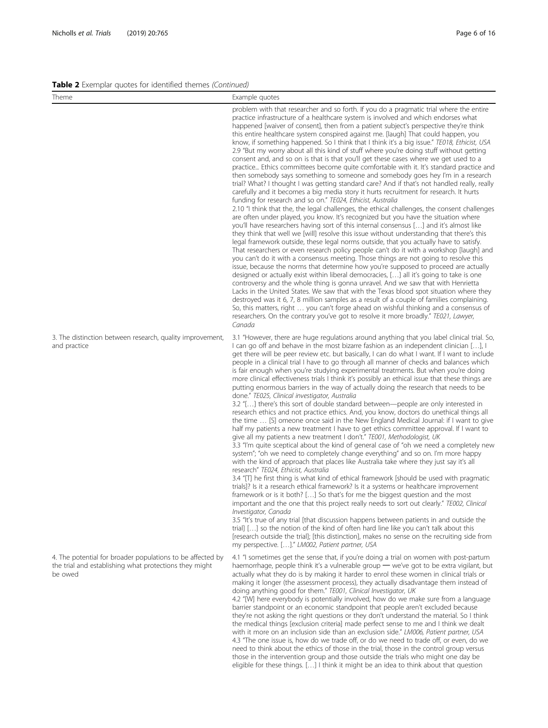Table 2 Exemplar quotes for identified themes (Continued)

| Theme                                                                                                                           | Example quotes                                                                                                                                                                                                                                                                                                                                                                                                                                                                                                                                                                                                                                                                                                                                                                                                                                                                                                                                                                                                                                                                                                                                                                                                                                                                                                                                                                                                                                                                                                                                                                                                                                                                                                                                                                                                                                                                                                                                                                                                                                                                                                                                                                                                                                                                                                                                                                                          |
|---------------------------------------------------------------------------------------------------------------------------------|---------------------------------------------------------------------------------------------------------------------------------------------------------------------------------------------------------------------------------------------------------------------------------------------------------------------------------------------------------------------------------------------------------------------------------------------------------------------------------------------------------------------------------------------------------------------------------------------------------------------------------------------------------------------------------------------------------------------------------------------------------------------------------------------------------------------------------------------------------------------------------------------------------------------------------------------------------------------------------------------------------------------------------------------------------------------------------------------------------------------------------------------------------------------------------------------------------------------------------------------------------------------------------------------------------------------------------------------------------------------------------------------------------------------------------------------------------------------------------------------------------------------------------------------------------------------------------------------------------------------------------------------------------------------------------------------------------------------------------------------------------------------------------------------------------------------------------------------------------------------------------------------------------------------------------------------------------------------------------------------------------------------------------------------------------------------------------------------------------------------------------------------------------------------------------------------------------------------------------------------------------------------------------------------------------------------------------------------------------------------------------------------------------|
|                                                                                                                                 | problem with that researcher and so forth. If you do a pragmatic trial where the entire<br>practice infrastructure of a healthcare system is involved and which endorses what<br>happened [waiver of consent], then from a patient subject's perspective they're think<br>this entire healthcare system conspired against me. [laugh] That could happen, you<br>know, if something happened. So I think that I think it's a big issue." TE018, Ethicist, USA<br>2.9 "But my worry about all this kind of stuff where you're doing stuff without getting<br>consent and, and so on is that is that you'll get these cases where we get used to a<br>practice Ethics committees become quite comfortable with it. It's standard practice and<br>then somebody says something to someone and somebody goes hey I'm in a research<br>trial? What? I thought I was getting standard care? And if that's not handled really, really<br>carefully and it becomes a big media story it hurts recruitment for research. It hurts<br>funding for research and so on." TE024, Ethicist, Australia<br>2.10 "I think that the, the legal challenges, the ethical challenges, the consent challenges<br>are often under played, you know. It's recognized but you have the situation where<br>you'll have researchers having sort of this internal consensus [] and it's almost like<br>they think that well we [will] resolve this issue without understanding that there's this<br>legal framework outside, these legal norms outside, that you actually have to satisfy.<br>That researchers or even research policy people can't do it with a workshop [laugh] and<br>you can't do it with a consensus meeting. Those things are not going to resolve this<br>issue, because the norms that determine how you're supposed to proceed are actually<br>designed or actually exist within liberal democracies, [] all it's going to take is one<br>controversy and the whole thing is gonna unravel. And we saw that with Henrietta<br>Lacks in the United States. We saw that with the Texas blood spot situation where they<br>destroyed was it 6, 7, 8 million samples as a result of a couple of families complaining.<br>So, this matters, right  you can't forge ahead on wishful thinking and a consensus of<br>researchers. On the contrary you've got to resolve it more broadly." TE021, Lawyer,<br>Canada |
| 3. The distinction between research, quality improvement,<br>and practice                                                       | 3.1 "However, there are huge regulations around anything that you label clinical trial. So,<br>I can go off and behave in the most bizarre fashion as an independent clinician [], I<br>get there will be peer review etc. but basically, I can do what I want. If I want to include<br>people in a clinical trial I have to go through all manner of checks and balances which<br>is fair enough when you're studying experimental treatments. But when you're doing<br>more clinical effectiveness trials I think it's possibly an ethical issue that these things are<br>putting enormous barriers in the way of actually doing the research that needs to be<br>done." TE025, Clinical investigator, Australia<br>3.2 "[] there's this sort of double standard between—people are only interested in<br>research ethics and not practice ethics. And, you know, doctors do unethical things all<br>the time  [S] omeone once said in the New England Medical Journal: if I want to give<br>half my patients a new treatment I have to get ethics committee approval. If I want to<br>give all my patients a new treatment I don't." TE001, Methodologist, UK<br>3.3 "I'm quite sceptical about the kind of general case of "oh we need a completely new<br>system"; "oh we need to completely change everything" and so on. I'm more happy<br>with the kind of approach that places like Australia take where they just say it's all<br>research" TE024, Ethicist, Australia<br>3.4 "[T] he first thing is what kind of ethical framework [should be used with pragmatic<br>trials]? Is it a research ethical framework? Is it a systems or healthcare improvement<br>framework or is it both? [] So that's for me the biggest question and the most<br>important and the one that this project really needs to sort out clearly." TE002, Clinical<br>Investigator, Canada<br>3.5 "It's true of any trial [that discussion happens between patients in and outside the<br>trial] [] so the notion of the kind of often hard line like you can't talk about this<br>[research outside the trial]; [this distinction], makes no sense on the recruiting side from<br>my perspective. []." LM002, Patient partner, USA                                                                                                                                                                                 |
| 4. The potential for broader populations to be affected by<br>the trial and establishing what protections they might<br>be owed | 4.1 "I sometimes get the sense that, if you're doing a trial on women with post-partum<br>haemorrhage, people think it's a vulnerable group - we've got to be extra vigilant, but<br>actually what they do is by making it harder to enrol these women in clinical trials or<br>making it longer (the assessment process), they actually disadvantage them instead of<br>doing anything good for them." TE001, Clinical Investigator, UK<br>4.2 "[W] here everybody is potentially involved, how do we make sure from a language<br>barrier standpoint or an economic standpoint that people aren't excluded because<br>they're not asking the right questions or they don't understand the material. So I think<br>the medical things [exclusion criteria] made perfect sense to me and I think we dealt<br>with it more on an inclusion side than an exclusion side." LM006, Patient partner, USA<br>4.3 "The one issue is, how do we trade off, or do we need to trade off, or even, do we<br>need to think about the ethics of those in the trial, those in the control group versus<br>those in the intervention group and those outside the trials who might one day be                                                                                                                                                                                                                                                                                                                                                                                                                                                                                                                                                                                                                                                                                                                                                                                                                                                                                                                                                                                                                                                                                                                                                                                                                           |

eligible for these things. […] I think it might be an idea to think about that question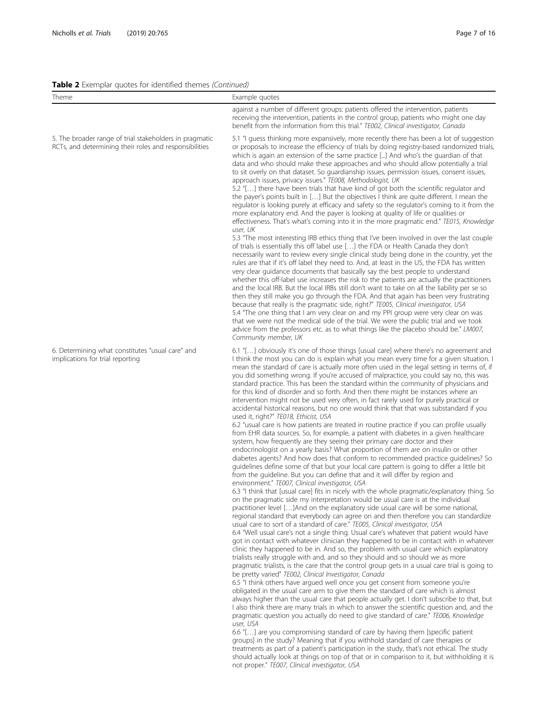Table 2 Exemplar quotes for identified themes (Continued)

| Theme                                                                                                             | Example quotes                                                                                                                                                                                                                                                                                                                                                                                                                                                                                                                                                                                                                                                                                                                                                                                                                                                                                                                                                                                                                                                                                                                                                                                                                                                                                                                                                                                                                                                                                                                                                                                                                                                                                                                                                                                                                                                                                                                                                                                                                                                                                                                                                                                                                                                                                                                                                                                                                                                                                                                                                                                                                                                                                                                                                                                                                                                                                                                                                                                                                                                                                                                                                                                                                                                                                                                                    |
|-------------------------------------------------------------------------------------------------------------------|---------------------------------------------------------------------------------------------------------------------------------------------------------------------------------------------------------------------------------------------------------------------------------------------------------------------------------------------------------------------------------------------------------------------------------------------------------------------------------------------------------------------------------------------------------------------------------------------------------------------------------------------------------------------------------------------------------------------------------------------------------------------------------------------------------------------------------------------------------------------------------------------------------------------------------------------------------------------------------------------------------------------------------------------------------------------------------------------------------------------------------------------------------------------------------------------------------------------------------------------------------------------------------------------------------------------------------------------------------------------------------------------------------------------------------------------------------------------------------------------------------------------------------------------------------------------------------------------------------------------------------------------------------------------------------------------------------------------------------------------------------------------------------------------------------------------------------------------------------------------------------------------------------------------------------------------------------------------------------------------------------------------------------------------------------------------------------------------------------------------------------------------------------------------------------------------------------------------------------------------------------------------------------------------------------------------------------------------------------------------------------------------------------------------------------------------------------------------------------------------------------------------------------------------------------------------------------------------------------------------------------------------------------------------------------------------------------------------------------------------------------------------------------------------------------------------------------------------------------------------------------------------------------------------------------------------------------------------------------------------------------------------------------------------------------------------------------------------------------------------------------------------------------------------------------------------------------------------------------------------------------------------------------------------------------------------------------------------------|
|                                                                                                                   | against a number of different groups: patients offered the intervention, patients<br>receiving the intervention, patients in the control group, patients who might one day<br>benefit from the information from this trial." TE002, Clinical investigator, Canada                                                                                                                                                                                                                                                                                                                                                                                                                                                                                                                                                                                                                                                                                                                                                                                                                                                                                                                                                                                                                                                                                                                                                                                                                                                                                                                                                                                                                                                                                                                                                                                                                                                                                                                                                                                                                                                                                                                                                                                                                                                                                                                                                                                                                                                                                                                                                                                                                                                                                                                                                                                                                                                                                                                                                                                                                                                                                                                                                                                                                                                                                 |
| 5. The broader range of trial stakeholders in pragmatic<br>RCTs, and determining their roles and responsibilities | 5.1 "I guess thinking more expansively, more recently there has been a lot of suggestion<br>or proposals to increase the efficiency of trials by doing registry-based randomized trials,<br>which is again an extension of the same practice [] And who's the guardian of that<br>data and who should make these approaches and who should allow potentially a trial<br>to sit overly on that dataset. So guardianship issues, permission issues, consent issues,<br>approach issues, privacy issues." TE008, Methodologist, UK<br>5.2 "[] there have been trials that have kind of got both the scientific regulator and<br>the payer's points built in [] But the objectives I think are quite different. I mean the<br>regulator is looking purely at efficacy and safety so the regulator's coming to it from the<br>more explanatory end. And the payer is looking at quality of life or qualities or<br>effectiveness. That's what's coming into it in the more pragmatic end." TE015, Knowledge<br>user, UK<br>5.3 "The most interesting IRB ethics thing that I've been involved in over the last couple<br>of trials is essentially this off label use [] the FDA or Health Canada they don't<br>necessarily want to review every single clinical study being done in the country, yet the<br>rules are that if it's off label they need to. And, at least in the US, the FDA has written<br>very clear guidance documents that basically say the best people to understand<br>whether this off-label use increases the risk to the patients are actually the practitioners<br>and the local IRB. But the local IRBs still don't want to take on all the liability per se so<br>then they still make you go through the FDA. And that again has been very frustrating<br>because that really is the pragmatic side, right?" TE005, Clinical investigator, USA<br>5.4 "The one thing that I am very clear on and my PPI group were very clear on was<br>that we were not the medical side of the trial. We were the public trial and we took<br>advice from the professors etc. as to what things like the placebo should be." LM007,<br>Community member, UK                                                                                                                                                                                                                                                                                                                                                                                                                                                                                                                                                                                                                                                                                                                                                                                                                                                                                                                                                                                                                                                                                                                                                                             |
| 6. Determining what constitutes "usual care" and<br>implications for trial reporting                              | 6.1 "[] obviously it's one of those things [usual care] where there's no agreement and<br>I think the most you can do is explain what you mean every time for a given situation. I<br>mean the standard of care is actually more often used in the legal setting in terms of, if<br>you did something wrong. If you're accused of malpractice, you could say no, this was<br>standard practice. This has been the standard within the community of physicians and<br>for this kind of disorder and so forth. And then there might be instances where an<br>intervention might not be used very often, in fact rarely used for purely practical or<br>accidental historical reasons, but no one would think that that was substandard if you<br>used it, right?" TE018, Ethicist, USA<br>6.2 "usual care is how patients are treated in routine practice if you can profile usually<br>from EHR data sources. So, for example, a patient with diabetes in a given healthcare<br>system, how frequently are they seeing their primary care doctor and their<br>endocrinologist on a yearly basis? What proportion of them are on insulin or other<br>diabetes agents? And how does that conform to recommended practice quidelines? So<br>quidelines define some of that but your local care pattern is going to differ a little bit<br>from the guideline. But you can define that and it will differ by region and<br>environment." TE007, Clinical investigator, USA<br>6.3 "I think that [usual care] fits in nicely with the whole pragmatic/explanatory thing. So<br>on the pragmatic side my interpretation would be usual care is at the individual<br>practitioner level [] And on the explanatory side usual care will be some national,<br>regional standard that everybody can agree on and then therefore you can standardize<br>usual care to sort of a standard of care." TE005, Clinical investigator, USA<br>6.4 "Well usual care's not a single thing. Usual care's whatever that patient would have<br>got in contact with whatever clinician they happened to be in contact with in whatever<br>clinic they happened to be in. And so, the problem with usual care which explanatory<br>trialists really struggle with and, and so they should and so should we as more<br>pragmatic trialists, is the care that the control group gets in a usual care trial is going to<br>be pretty varied" TE002, Clinical Investigator, Canada<br>6.5 "I think others have argued well once you get consent from someone you're<br>obligated in the usual care arm to give them the standard of care which is almost<br>always higher than the usual care that people actually get. I don't subscribe to that, but<br>I also think there are many trials in which to answer the scientific question and, and the<br>pragmatic question you actually do need to give standard of care." TE006, Knowledge<br>user, USA<br>6.6 "[] are you compromising standard of care by having them [specific patient<br>groups] in the study? Meaning that if you withhold standard of care therapies or<br>treatments as part of a patient's participation in the study, that's not ethical. The study<br>should actually look at things on top of that or in comparison to it, but withholding it is<br>not proper." TE007, Clinical investigator, USA |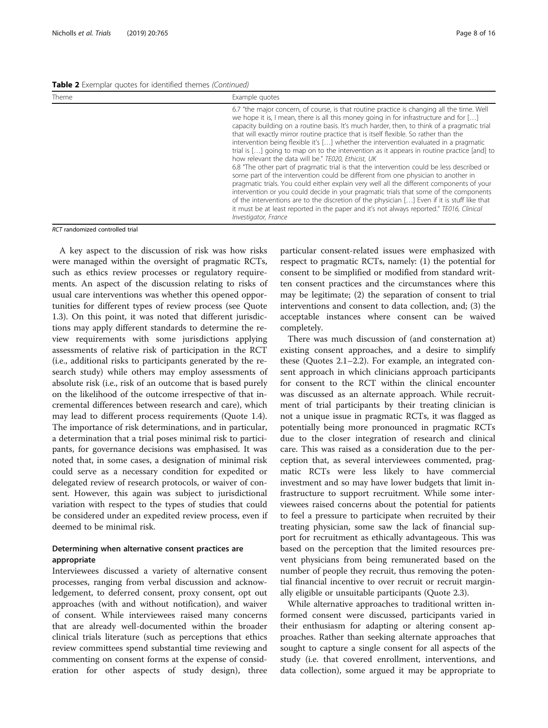Table 2 Exemplar quot

| Table 2 Exemplar quotes for identified themes (Continued) |                                                                                                                                                                                                                                                                                                                                                                                                                                                                        |  |
|-----------------------------------------------------------|------------------------------------------------------------------------------------------------------------------------------------------------------------------------------------------------------------------------------------------------------------------------------------------------------------------------------------------------------------------------------------------------------------------------------------------------------------------------|--|
| Theme                                                     | Example quotes                                                                                                                                                                                                                                                                                                                                                                                                                                                         |  |
|                                                           | 6.7 "the major concern, of course, is that routine practice is changing all the time. Well<br>we hope it is, I mean, there is all this money going in for infrastructure and for $[]$<br>capacity building on a routine basis. It's much harder, then, to think of a pragmatic trial<br>that will exactly mirror routine practice that is itself flexible. So rather than the<br>intervention being flexible it's [] whether the intervention evaluated in a pragmatic |  |

Investigator, France

| trial is [] going to map on to the intervention as it appears in routine practice [and] to |
|--------------------------------------------------------------------------------------------|
| how relevant the data will be." TE020, Ethicist, UK                                        |
| 6.8 "The other part of pragmatic trial is that the intervention could be less described or |
| some part of the intervention could be different from one physician to another in          |
| pragmatic trials. You could either explain very well all the different components of your  |
| intervention or you could decide in your pragmatic trials that some of the components      |

of the interventions are to the discretion of the physician […] Even if it is stuff like that it must be at least reported in the paper and it's not always reported." TE016, Clinical

RCT randomized controlled trial

A key aspect to the discussion of risk was how risks were managed within the oversight of pragmatic RCTs, such as ethics review processes or regulatory requirements. An aspect of the discussion relating to risks of usual care interventions was whether this opened opportunities for different types of review process (see Quote 1.3). On this point, it was noted that different jurisdictions may apply different standards to determine the review requirements with some jurisdictions applying assessments of relative risk of participation in the RCT (i.e., additional risks to participants generated by the research study) while others may employ assessments of absolute risk (i.e., risk of an outcome that is based purely on the likelihood of the outcome irrespective of that incremental differences between research and care), which may lead to different process requirements (Quote 1.4). The importance of risk determinations, and in particular, a determination that a trial poses minimal risk to participants, for governance decisions was emphasised. It was noted that, in some cases, a designation of minimal risk could serve as a necessary condition for expedited or delegated review of research protocols, or waiver of consent. However, this again was subject to jurisdictional variation with respect to the types of studies that could be considered under an expedited review process, even if deemed to be minimal risk.

## Determining when alternative consent practices are appropriate

Interviewees discussed a variety of alternative consent processes, ranging from verbal discussion and acknowledgement, to deferred consent, proxy consent, opt out approaches (with and without notification), and waiver of consent. While interviewees raised many concerns that are already well-documented within the broader clinical trials literature (such as perceptions that ethics review committees spend substantial time reviewing and commenting on consent forms at the expense of consideration for other aspects of study design), three particular consent-related issues were emphasized with respect to pragmatic RCTs, namely: (1) the potential for consent to be simplified or modified from standard written consent practices and the circumstances where this may be legitimate; (2) the separation of consent to trial interventions and consent to data collection, and; (3) the acceptable instances where consent can be waived completely.

There was much discussion of (and consternation at) existing consent approaches, and a desire to simplify these (Quotes 2.1–2.2). For example, an integrated consent approach in which clinicians approach participants for consent to the RCT within the clinical encounter was discussed as an alternate approach. While recruitment of trial participants by their treating clinician is not a unique issue in pragmatic RCTs, it was flagged as potentially being more pronounced in pragmatic RCTs due to the closer integration of research and clinical care. This was raised as a consideration due to the perception that, as several interviewees commented, pragmatic RCTs were less likely to have commercial investment and so may have lower budgets that limit infrastructure to support recruitment. While some interviewees raised concerns about the potential for patients to feel a pressure to participate when recruited by their treating physician, some saw the lack of financial support for recruitment as ethically advantageous. This was based on the perception that the limited resources prevent physicians from being remunerated based on the number of people they recruit, thus removing the potential financial incentive to over recruit or recruit marginally eligible or unsuitable participants (Quote 2.3).

While alternative approaches to traditional written informed consent were discussed, participants varied in their enthusiasm for adapting or altering consent approaches. Rather than seeking alternate approaches that sought to capture a single consent for all aspects of the study (i.e. that covered enrollment, interventions, and data collection), some argued it may be appropriate to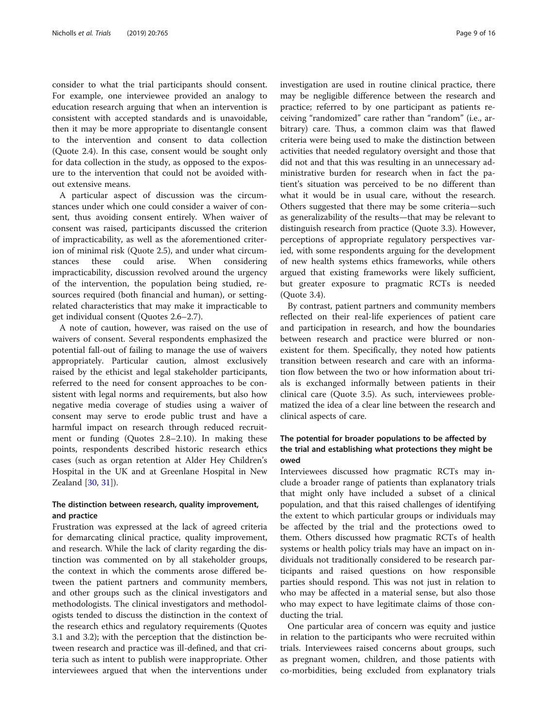consider to what the trial participants should consent. For example, one interviewee provided an analogy to education research arguing that when an intervention is consistent with accepted standards and is unavoidable, then it may be more appropriate to disentangle consent to the intervention and consent to data collection (Quote 2.4). In this case, consent would be sought only for data collection in the study, as opposed to the exposure to the intervention that could not be avoided without extensive means.

A particular aspect of discussion was the circumstances under which one could consider a waiver of consent, thus avoiding consent entirely. When waiver of consent was raised, participants discussed the criterion of impracticability, as well as the aforementioned criterion of minimal risk (Quote 2.5), and under what circumstances these could arise. When considering impracticability, discussion revolved around the urgency of the intervention, the population being studied, resources required (both financial and human), or settingrelated characteristics that may make it impracticable to get individual consent (Quotes 2.6–2.7).

A note of caution, however, was raised on the use of waivers of consent. Several respondents emphasized the potential fall-out of failing to manage the use of waivers appropriately. Particular caution, almost exclusively raised by the ethicist and legal stakeholder participants, referred to the need for consent approaches to be consistent with legal norms and requirements, but also how negative media coverage of studies using a waiver of consent may serve to erode public trust and have a harmful impact on research through reduced recruitment or funding (Quotes 2.8–2.10). In making these points, respondents described historic research ethics cases (such as organ retention at Alder Hey Children's Hospital in the UK and at Greenlane Hospital in New Zealand [\[30](#page-14-0), [31](#page-14-0)]).

## The distinction between research, quality improvement, and practice

Frustration was expressed at the lack of agreed criteria for demarcating clinical practice, quality improvement, and research. While the lack of clarity regarding the distinction was commented on by all stakeholder groups, the context in which the comments arose differed between the patient partners and community members, and other groups such as the clinical investigators and methodologists. The clinical investigators and methodologists tended to discuss the distinction in the context of the research ethics and regulatory requirements (Quotes 3.1 and 3.2); with the perception that the distinction between research and practice was ill-defined, and that criteria such as intent to publish were inappropriate. Other interviewees argued that when the interventions under

investigation are used in routine clinical practice, there may be negligible difference between the research and practice; referred to by one participant as patients receiving "randomized" care rather than "random" (i.e., arbitrary) care. Thus, a common claim was that flawed criteria were being used to make the distinction between activities that needed regulatory oversight and those that did not and that this was resulting in an unnecessary administrative burden for research when in fact the patient's situation was perceived to be no different than what it would be in usual care, without the research. Others suggested that there may be some criteria—such as generalizability of the results—that may be relevant to distinguish research from practice (Quote 3.3). However, perceptions of appropriate regulatory perspectives varied, with some respondents arguing for the development of new health systems ethics frameworks, while others argued that existing frameworks were likely sufficient, but greater exposure to pragmatic RCTs is needed (Quote 3.4).

By contrast, patient partners and community members reflected on their real-life experiences of patient care and participation in research, and how the boundaries between research and practice were blurred or nonexistent for them. Specifically, they noted how patients transition between research and care with an information flow between the two or how information about trials is exchanged informally between patients in their clinical care (Quote 3.5). As such, interviewees problematized the idea of a clear line between the research and clinical aspects of care.

## The potential for broader populations to be affected by the trial and establishing what protections they might be owed

Interviewees discussed how pragmatic RCTs may include a broader range of patients than explanatory trials that might only have included a subset of a clinical population, and that this raised challenges of identifying the extent to which particular groups or individuals may be affected by the trial and the protections owed to them. Others discussed how pragmatic RCTs of health systems or health policy trials may have an impact on individuals not traditionally considered to be research participants and raised questions on how responsible parties should respond. This was not just in relation to who may be affected in a material sense, but also those who may expect to have legitimate claims of those conducting the trial.

One particular area of concern was equity and justice in relation to the participants who were recruited within trials. Interviewees raised concerns about groups, such as pregnant women, children, and those patients with co-morbidities, being excluded from explanatory trials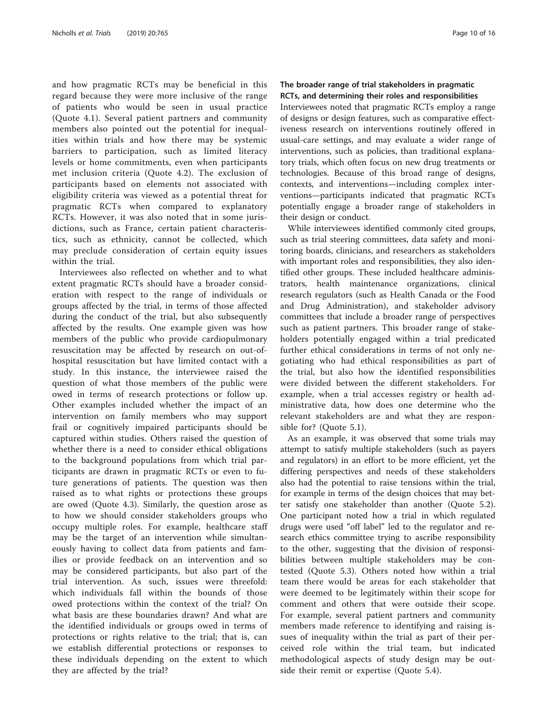and how pragmatic RCTs may be beneficial in this regard because they were more inclusive of the range of patients who would be seen in usual practice (Quote 4.1). Several patient partners and community members also pointed out the potential for inequalities within trials and how there may be systemic barriers to participation, such as limited literacy levels or home commitments, even when participants met inclusion criteria (Quote 4.2). The exclusion of participants based on elements not associated with eligibility criteria was viewed as a potential threat for pragmatic RCTs when compared to explanatory RCTs. However, it was also noted that in some jurisdictions, such as France, certain patient characteristics, such as ethnicity, cannot be collected, which may preclude consideration of certain equity issues within the trial.

Interviewees also reflected on whether and to what extent pragmatic RCTs should have a broader consideration with respect to the range of individuals or groups affected by the trial, in terms of those affected during the conduct of the trial, but also subsequently affected by the results. One example given was how members of the public who provide cardiopulmonary resuscitation may be affected by research on out-ofhospital resuscitation but have limited contact with a study. In this instance, the interviewee raised the question of what those members of the public were owed in terms of research protections or follow up. Other examples included whether the impact of an intervention on family members who may support frail or cognitively impaired participants should be captured within studies. Others raised the question of whether there is a need to consider ethical obligations to the background populations from which trial participants are drawn in pragmatic RCTs or even to future generations of patients. The question was then raised as to what rights or protections these groups are owed (Quote 4.3). Similarly, the question arose as to how we should consider stakeholders groups who occupy multiple roles. For example, healthcare staff may be the target of an intervention while simultaneously having to collect data from patients and families or provide feedback on an intervention and so may be considered participants, but also part of the trial intervention. As such, issues were threefold: which individuals fall within the bounds of those owed protections within the context of the trial? On what basis are these boundaries drawn? And what are the identified individuals or groups owed in terms of protections or rights relative to the trial; that is, can we establish differential protections or responses to these individuals depending on the extent to which they are affected by the trial?

## The broader range of trial stakeholders in pragmatic RCTs, and determining their roles and responsibilities

Interviewees noted that pragmatic RCTs employ a range of designs or design features, such as comparative effectiveness research on interventions routinely offered in usual-care settings, and may evaluate a wider range of interventions, such as policies, than traditional explanatory trials, which often focus on new drug treatments or technologies. Because of this broad range of designs, contexts, and interventions—including complex interventions—participants indicated that pragmatic RCTs potentially engage a broader range of stakeholders in their design or conduct.

While interviewees identified commonly cited groups, such as trial steering committees, data safety and monitoring boards, clinicians, and researchers as stakeholders with important roles and responsibilities, they also identified other groups. These included healthcare administrators, health maintenance organizations, clinical research regulators (such as Health Canada or the Food and Drug Administration), and stakeholder advisory committees that include a broader range of perspectives such as patient partners. This broader range of stakeholders potentially engaged within a trial predicated further ethical considerations in terms of not only negotiating who had ethical responsibilities as part of the trial, but also how the identified responsibilities were divided between the different stakeholders. For example, when a trial accesses registry or health administrative data, how does one determine who the relevant stakeholders are and what they are responsible for? (Quote 5.1).

As an example, it was observed that some trials may attempt to satisfy multiple stakeholders (such as payers and regulators) in an effort to be more efficient, yet the differing perspectives and needs of these stakeholders also had the potential to raise tensions within the trial, for example in terms of the design choices that may better satisfy one stakeholder than another (Quote 5.2). One participant noted how a trial in which regulated drugs were used "off label" led to the regulator and research ethics committee trying to ascribe responsibility to the other, suggesting that the division of responsibilities between multiple stakeholders may be contested (Quote 5.3). Others noted how within a trial team there would be areas for each stakeholder that were deemed to be legitimately within their scope for comment and others that were outside their scope. For example, several patient partners and community members made reference to identifying and raising issues of inequality within the trial as part of their perceived role within the trial team, but indicated methodological aspects of study design may be outside their remit or expertise (Quote 5.4).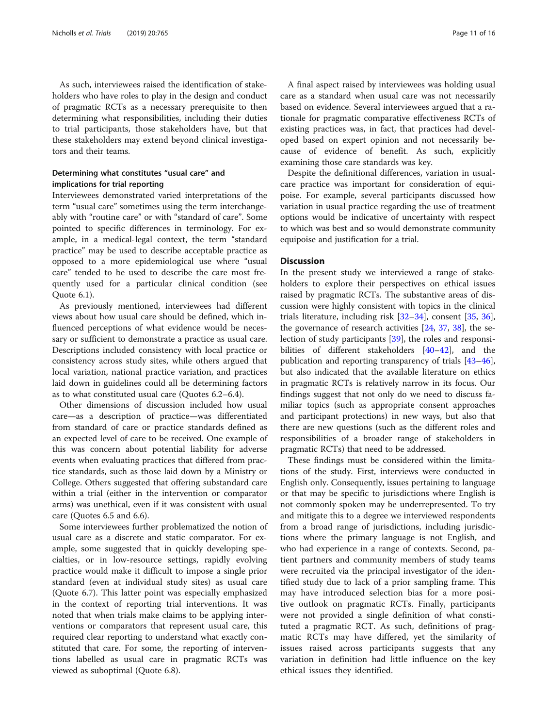As such, interviewees raised the identification of stakeholders who have roles to play in the design and conduct of pragmatic RCTs as a necessary prerequisite to then determining what responsibilities, including their duties to trial participants, those stakeholders have, but that these stakeholders may extend beyond clinical investigators and their teams.

## Determining what constitutes "usual care" and implications for trial reporting

Interviewees demonstrated varied interpretations of the term "usual care" sometimes using the term interchangeably with "routine care" or with "standard of care". Some pointed to specific differences in terminology. For example, in a medical-legal context, the term "standard practice" may be used to describe acceptable practice as opposed to a more epidemiological use where "usual care" tended to be used to describe the care most frequently used for a particular clinical condition (see Quote 6.1).

As previously mentioned, interviewees had different views about how usual care should be defined, which influenced perceptions of what evidence would be necessary or sufficient to demonstrate a practice as usual care. Descriptions included consistency with local practice or consistency across study sites, while others argued that local variation, national practice variation, and practices laid down in guidelines could all be determining factors as to what constituted usual care (Quotes 6.2–6.4).

Other dimensions of discussion included how usual care—as a description of practice—was differentiated from standard of care or practice standards defined as an expected level of care to be received. One example of this was concern about potential liability for adverse events when evaluating practices that differed from practice standards, such as those laid down by a Ministry or College. Others suggested that offering substandard care within a trial (either in the intervention or comparator arms) was unethical, even if it was consistent with usual care (Quotes 6.5 and 6.6).

Some interviewees further problematized the notion of usual care as a discrete and static comparator. For example, some suggested that in quickly developing specialties, or in low-resource settings, rapidly evolving practice would make it difficult to impose a single prior standard (even at individual study sites) as usual care (Quote 6.7). This latter point was especially emphasized in the context of reporting trial interventions. It was noted that when trials make claims to be applying interventions or comparators that represent usual care, this required clear reporting to understand what exactly constituted that care. For some, the reporting of interventions labelled as usual care in pragmatic RCTs was viewed as suboptimal (Quote 6.8).

A final aspect raised by interviewees was holding usual care as a standard when usual care was not necessarily based on evidence. Several interviewees argued that a rationale for pragmatic comparative effectiveness RCTs of existing practices was, in fact, that practices had developed based on expert opinion and not necessarily because of evidence of benefit. As such, explicitly examining those care standards was key.

Despite the definitional differences, variation in usualcare practice was important for consideration of equipoise. For example, several participants discussed how variation in usual practice regarding the use of treatment options would be indicative of uncertainty with respect to which was best and so would demonstrate community equipoise and justification for a trial.

### **Discussion**

In the present study we interviewed a range of stakeholders to explore their perspectives on ethical issues raised by pragmatic RCTs. The substantive areas of discussion were highly consistent with topics in the clinical trials literature, including risk [[32](#page-14-0)–[34\]](#page-14-0), consent [[35,](#page-14-0) [36](#page-14-0)], the governance of research activities [\[24](#page-14-0), [37,](#page-14-0) [38\]](#page-14-0), the selection of study participants [[39\]](#page-14-0), the roles and responsibilities of different stakeholders [\[40](#page-14-0)–[42](#page-14-0)], and the publication and reporting transparency of trials [[43](#page-14-0)–[46](#page-14-0)], but also indicated that the available literature on ethics in pragmatic RCTs is relatively narrow in its focus. Our findings suggest that not only do we need to discuss familiar topics (such as appropriate consent approaches and participant protections) in new ways, but also that there are new questions (such as the different roles and responsibilities of a broader range of stakeholders in pragmatic RCTs) that need to be addressed.

These findings must be considered within the limitations of the study. First, interviews were conducted in English only. Consequently, issues pertaining to language or that may be specific to jurisdictions where English is not commonly spoken may be underrepresented. To try and mitigate this to a degree we interviewed respondents from a broad range of jurisdictions, including jurisdictions where the primary language is not English, and who had experience in a range of contexts. Second, patient partners and community members of study teams were recruited via the principal investigator of the identified study due to lack of a prior sampling frame. This may have introduced selection bias for a more positive outlook on pragmatic RCTs. Finally, participants were not provided a single definition of what constituted a pragmatic RCT. As such, definitions of pragmatic RCTs may have differed, yet the similarity of issues raised across participants suggests that any variation in definition had little influence on the key ethical issues they identified.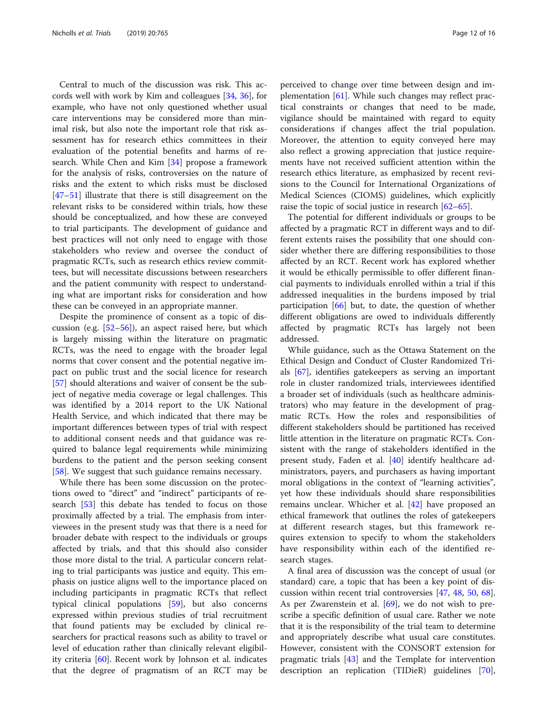Central to much of the discussion was risk. This accords well with work by Kim and colleagues [\[34](#page-14-0), [36](#page-14-0)], for example, who have not only questioned whether usual care interventions may be considered more than minimal risk, but also note the important role that risk assessment has for research ethics committees in their evaluation of the potential benefits and harms of research. While Chen and Kim [\[34](#page-14-0)] propose a framework for the analysis of risks, controversies on the nature of risks and the extent to which risks must be disclosed [[47](#page-14-0)–[51](#page-14-0)] illustrate that there is still disagreement on the relevant risks to be considered within trials, how these should be conceptualized, and how these are conveyed to trial participants. The development of guidance and best practices will not only need to engage with those stakeholders who review and oversee the conduct of pragmatic RCTs, such as research ethics review committees, but will necessitate discussions between researchers and the patient community with respect to understanding what are important risks for consideration and how these can be conveyed in an appropriate manner.

Despite the prominence of consent as a topic of discussion (e.g. [[52](#page-14-0)–[56](#page-14-0)]), an aspect raised here, but which is largely missing within the literature on pragmatic RCTs, was the need to engage with the broader legal norms that cover consent and the potential negative impact on public trust and the social licence for research [[57\]](#page-15-0) should alterations and waiver of consent be the subject of negative media coverage or legal challenges. This was identified by a 2014 report to the UK National Health Service, and which indicated that there may be important differences between types of trial with respect to additional consent needs and that guidance was required to balance legal requirements while minimizing burdens to the patient and the person seeking consent [[58\]](#page-15-0). We suggest that such guidance remains necessary.

While there has been some discussion on the protections owed to "direct" and "indirect" participants of research [\[53\]](#page-14-0) this debate has tended to focus on those proximally affected by a trial. The emphasis from interviewees in the present study was that there is a need for broader debate with respect to the individuals or groups affected by trials, and that this should also consider those more distal to the trial. A particular concern relating to trial participants was justice and equity. This emphasis on justice aligns well to the importance placed on including participants in pragmatic RCTs that reflect typical clinical populations [\[59](#page-15-0)], but also concerns expressed within previous studies of trial recruitment that found patients may be excluded by clinical researchers for practical reasons such as ability to travel or level of education rather than clinically relevant eligibility criteria [\[60\]](#page-15-0). Recent work by Johnson et al. indicates that the degree of pragmatism of an RCT may be

perceived to change over time between design and implementation [[61\]](#page-15-0). While such changes may reflect practical constraints or changes that need to be made, vigilance should be maintained with regard to equity considerations if changes affect the trial population. Moreover, the attention to equity conveyed here may also reflect a growing appreciation that justice requirements have not received sufficient attention within the research ethics literature, as emphasized by recent revisions to the Council for International Organizations of Medical Sciences (CIOMS) guidelines, which explicitly raise the topic of social justice in research [\[62](#page-15-0)–[65](#page-15-0)].

The potential for different individuals or groups to be affected by a pragmatic RCT in different ways and to different extents raises the possibility that one should consider whether there are differing responsibilities to those affected by an RCT. Recent work has explored whether it would be ethically permissible to offer different financial payments to individuals enrolled within a trial if this addressed inequalities in the burdens imposed by trial participation  $[66]$  $[66]$  but, to date, the question of whether different obligations are owed to individuals differently affected by pragmatic RCTs has largely not been addressed.

While guidance, such as the Ottawa Statement on the Ethical Design and Conduct of Cluster Randomized Trials [\[67](#page-15-0)], identifies gatekeepers as serving an important role in cluster randomized trials, interviewees identified a broader set of individuals (such as healthcare administrators) who may feature in the development of pragmatic RCTs. How the roles and responsibilities of different stakeholders should be partitioned has received little attention in the literature on pragmatic RCTs. Consistent with the range of stakeholders identified in the present study, Faden et al. [\[40\]](#page-14-0) identify healthcare administrators, payers, and purchasers as having important moral obligations in the context of "learning activities", yet how these individuals should share responsibilities remains unclear. Whicher et al. [\[42](#page-14-0)] have proposed an ethical framework that outlines the roles of gatekeepers at different research stages, but this framework requires extension to specify to whom the stakeholders have responsibility within each of the identified research stages.

A final area of discussion was the concept of usual (or standard) care, a topic that has been a key point of discussion within recent trial controversies [\[47,](#page-14-0) [48](#page-14-0), [50,](#page-14-0) [68](#page-15-0)]. As per Zwarenstein et al.  $[69]$  $[69]$  $[69]$ , we do not wish to prescribe a specific definition of usual care. Rather we note that it is the responsibility of the trial team to determine and appropriately describe what usual care constitutes. However, consistent with the CONSORT extension for pragmatic trials [[43\]](#page-14-0) and the Template for intervention description an replication (TIDieR) guidelines [\[70](#page-15-0)],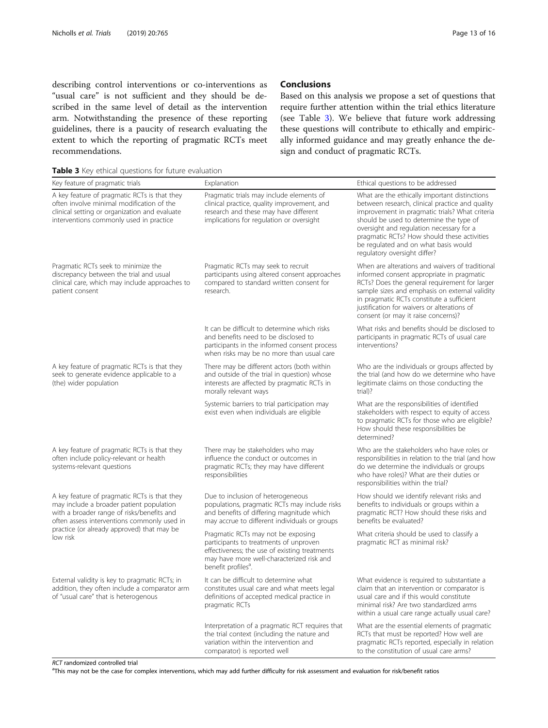describing control interventions or co-interventions as "usual care" is not sufficient and they should be described in the same level of detail as the intervention arm. Notwithstanding the presence of these reporting guidelines, there is a paucity of research evaluating the extent to which the reporting of pragmatic RCTs meet recommendations.

## **Conclusions**

Based on this analysis we propose a set of questions that require further attention within the trial ethics literature (see Table 3). We believe that future work addressing these questions will contribute to ethically and empirically informed guidance and may greatly enhance the design and conduct of pragmatic RCTs.

Table 3 Key ethical questions for future evaluation

| Key feature of pragmatic trials                                                                                                                                                                                                                 | Explanation                                                                                                                                                                                                   | Ethical questions to be addressed                                                                                                                                                                                                                                                                                                                                |
|-------------------------------------------------------------------------------------------------------------------------------------------------------------------------------------------------------------------------------------------------|---------------------------------------------------------------------------------------------------------------------------------------------------------------------------------------------------------------|------------------------------------------------------------------------------------------------------------------------------------------------------------------------------------------------------------------------------------------------------------------------------------------------------------------------------------------------------------------|
| A key feature of pragmatic RCTs is that they<br>often involve minimal modification of the<br>clinical setting or organization and evaluate<br>interventions commonly used in practice                                                           | Pragmatic trials may include elements of<br>clinical practice, quality improvement, and<br>research and these may have different<br>implications for regulation or oversight                                  | What are the ethically important distinctions<br>between research, clinical practice and quality<br>improvement in pragmatic trials? What criteria<br>should be used to determine the type of<br>oversight and regulation necessary for a<br>pragmatic RCTs? How should these activities<br>be regulated and on what basis would<br>regulatory oversight differ? |
| Pragmatic RCTs seek to minimize the<br>discrepancy between the trial and usual<br>clinical care, which may include approaches to<br>patient consent                                                                                             | Pragmatic RCTs may seek to recruit<br>participants using altered consent approaches<br>compared to standard written consent for<br>research.                                                                  | When are alterations and waivers of traditional<br>informed consent appropriate in pragmatic<br>RCTs? Does the general requirement for larger<br>sample sizes and emphasis on external validity<br>in pragmatic RCTs constitute a sufficient<br>justification for waivers or alterations of<br>consent (or may it raise concerns)?                               |
|                                                                                                                                                                                                                                                 | It can be difficult to determine which risks<br>and benefits need to be disclosed to<br>participants in the informed consent process<br>when risks may be no more than usual care                             | What risks and benefits should be disclosed to<br>participants in pragmatic RCTs of usual care<br>interventions?                                                                                                                                                                                                                                                 |
| A key feature of pragmatic RCTs is that they<br>seek to generate evidence applicable to a<br>(the) wider population                                                                                                                             | There may be different actors (both within<br>and outside of the trial in question) whose<br>interests are affected by pragmatic RCTs in<br>morally relevant ways                                             | Who are the individuals or groups affected by<br>the trial (and how do we determine who have<br>legitimate claims on those conducting the<br>trial)?                                                                                                                                                                                                             |
|                                                                                                                                                                                                                                                 | Systemic barriers to trial participation may<br>exist even when individuals are eligible                                                                                                                      | What are the responsibilities of identified<br>stakeholders with respect to equity of access<br>to pragmatic RCTs for those who are eligible?<br>How should these responsibilities be<br>determined?                                                                                                                                                             |
| A key feature of pragmatic RCTs is that they<br>often include policy-relevant or health<br>systems-relevant questions                                                                                                                           | There may be stakeholders who may<br>influence the conduct or outcomes in<br>pragmatic RCTs; they may have different<br>responsibilities                                                                      | Who are the stakeholders who have roles or<br>responsibilities in relation to the trial (and how<br>do we determine the individuals or groups<br>who have roles)? What are their duties or<br>responsibilities within the trial?                                                                                                                                 |
| A key feature of pragmatic RCTs is that they<br>may include a broader patient population<br>with a broader range of risks/benefits and<br>often assess interventions commonly used in<br>practice (or already approved) that may be<br>low risk | Due to inclusion of heterogeneous<br>populations, pragmatic RCTs may include risks<br>and benefits of differing magnitude which<br>may accrue to different individuals or groups                              | How should we identify relevant risks and<br>benefits to individuals or groups within a<br>pragmatic RCT? How should these risks and<br>benefits be evaluated?                                                                                                                                                                                                   |
|                                                                                                                                                                                                                                                 | Pragmatic RCTs may not be exposing<br>participants to treatments of unproven<br>effectiveness; the use of existing treatments<br>may have more well-characterized risk and<br>benefit profiles <sup>d</sup> . | What criteria should be used to classify a<br>pragmatic RCT as minimal risk?                                                                                                                                                                                                                                                                                     |
| External validity is key to pragmatic RCTs; in<br>addition, they often include a comparator arm<br>of "usual care" that is heterogenous                                                                                                         | It can be difficult to determine what<br>constitutes usual care and what meets legal<br>definitions of accepted medical practice in<br>pragmatic RCTs                                                         | What evidence is required to substantiate a<br>claim that an intervention or comparator is<br>usual care and if this would constitute<br>minimal risk? Are two standardized arms<br>within a usual care range actually usual care?                                                                                                                               |
|                                                                                                                                                                                                                                                 | Interpretation of a pragmatic RCT requires that<br>the trial context (including the nature and<br>variation within the intervention and<br>comparator) is reported well                                       | What are the essential elements of pragmatic<br>RCTs that must be reported? How well are<br>pragmatic RCTs reported, especially in relation<br>to the constitution of usual care arms?                                                                                                                                                                           |

 $RCT$  randomized controlled trial

<sup>a</sup>This may not be the case for complex interventions, which may add further difficulty for risk assessment and evaluation for risk/benefit ratios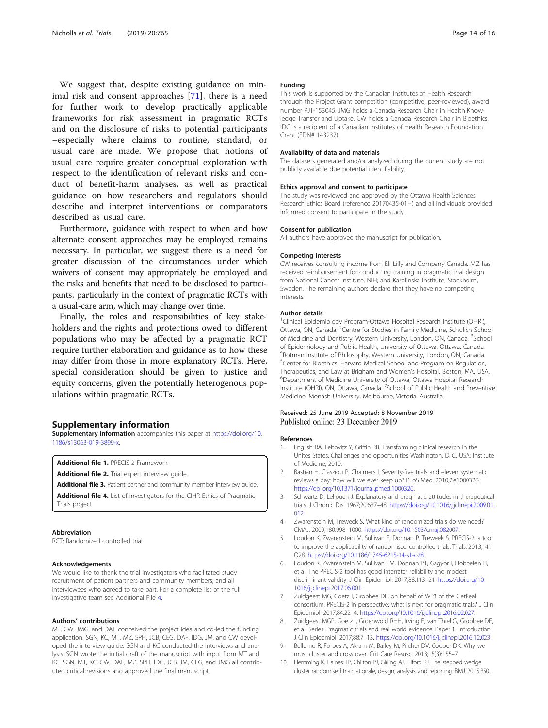<span id="page-13-0"></span>We suggest that, despite existing guidance on minimal risk and consent approaches [\[71](#page-15-0)], there is a need for further work to develop practically applicable frameworks for risk assessment in pragmatic RCTs and on the disclosure of risks to potential participants –especially where claims to routine, standard, or usual care are made. We propose that notions of usual care require greater conceptual exploration with respect to the identification of relevant risks and conduct of benefit-harm analyses, as well as practical guidance on how researchers and regulators should describe and interpret interventions or comparators described as usual care.

Furthermore, guidance with respect to when and how alternate consent approaches may be employed remains necessary. In particular, we suggest there is a need for greater discussion of the circumstances under which waivers of consent may appropriately be employed and the risks and benefits that need to be disclosed to participants, particularly in the context of pragmatic RCTs with a usual-care arm, which may change over time.

Finally, the roles and responsibilities of key stakeholders and the rights and protections owed to different populations who may be affected by a pragmatic RCT require further elaboration and guidance as to how these may differ from those in more explanatory RCTs. Here, special consideration should be given to justice and equity concerns, given the potentially heterogenous populations within pragmatic RCTs.

#### Supplementary information

Supplementary information accompanies this paper at [https://doi.org/10.](https://doi.org/10.1186/s13063-019-3899-x) [1186/s13063-019-3899-x](https://doi.org/10.1186/s13063-019-3899-x).

Additional file 1. PRECIS-2 Framework

Additional file 2. Trial expert interview guide.

Additional file 3. Patient partner and community member interview quide.

Additional file 4. List of investigators for the CIHR Ethics of Pragmatic Trials project.

#### Abbreviation

RCT: Randomized controlled trial

#### Acknowledgements

We would like to thank the trial investigators who facilitated study recruitment of patient partners and community members, and all interviewees who agreed to take part. For a complete list of the full investigative team see Additional File 4.

#### Authors' contributions

MT, CW, JMG, and DAF conceived the project idea and co-led the funding application. SGN, KC, MT, MZ, SPH, JCB, CEG, DAF, IDG, JM, and CW developed the interview guide. SGN and KC conducted the interviews and analysis. SGN wrote the initial draft of the manuscript with input from MT and KC. SGN, MT, KC, CW, DAF, MZ, SPH, IDG, JCB, JM, CEG, and JMG all contributed critical revisions and approved the final manuscript.

#### Funding

This work is supported by the Canadian Institutes of Health Research through the Project Grant competition (competitive, peer-reviewed), award number PJT-153045. JMG holds a Canada Research Chair in Health Knowledge Transfer and Uptake. CW holds a Canada Research Chair in Bioethics. IDG is a recipient of a Canadian Institutes of Health Research Foundation Grant (FDN# 143237).

#### Availability of data and materials

The datasets generated and/or analyzed during the current study are not publicly available due potential identifiability.

#### Ethics approval and consent to participate

The study was reviewed and approved by the Ottawa Health Sciences Research Ethics Board (reference 20170435-01H) and all individuals provided informed consent to participate in the study.

#### Consent for publication

All authors have approved the manuscript for publication.

#### Competing interests

CW receives consulting income from Eli Lilly and Company Canada. MZ has received reimbursement for conducting training in pragmatic trial design from National Cancer Institute, NIH; and Karolinska Institute, Stockholm, Sweden. The remaining authors declare that they have no competing interests.

#### Author details

<sup>1</sup>Clinical Epidemiology Program-Ottawa Hospital Research Institute (OHRI), Ottawa, ON, Canada. <sup>2</sup>Centre for Studies in Family Medicine, Schulich School of Medicine and Dentistry, Western University, London, ON, Canada. <sup>3</sup>School of Epidemiology and Public Health, University of Ottawa, Ottawa, Canada. 4 Rotman Institute of Philosophy, Western University, London, ON, Canada. 5 Center for Bioethics, Harvard Medical School and Program on Regulation, Therapeutics, and Law at Brigham and Women's Hospital, Boston, MA, USA. <sup>6</sup> <sup>6</sup>Department of Medicine University of Ottawa, Ottawa Hospital Research Institute (OHRI), ON, Ottawa, Canada. <sup>7</sup>School of Public Health and Preventive Medicine, Monash University, Melbourne, Victoria, Australia.

## Received: 25 June 2019 Accepted: 8 November 2019 Published online: 23 December 2019

#### References

- 1. English RA, Lebovitz Y, Griffin RB. Transforming clinical research in the Unites States. Challenges and opportunities Washington, D. C, USA: Institute of Medicine; 2010.
- 2. Bastian H, Glasziou P, Chalmers I. Seventy-five trials and eleven systematic reviews a day: how will we ever keep up? PLoS Med. 2010;7:e1000326. [https://doi.org/10.1371/journal.pmed.1000326.](https://doi.org/10.1371/journal.pmed.1000326)
- 3. Schwartz D, Lellouch J. Explanatory and pragmatic attitudes in therapeutical trials. J Chronic Dis. 1967;20:637–48. [https://doi.org/10.1016/j.jclinepi.2009.01.](https://doi.org/10.1016/j.jclinepi.2009.01.012) [012.](https://doi.org/10.1016/j.jclinepi.2009.01.012)
- 4. Zwarenstein M, Treweek S. What kind of randomized trials do we need? CMAJ. 2009;180:998–1000. [https://doi.org/10.1503/cmaj.082007.](https://doi.org/10.1503/cmaj.082007)
- 5. Loudon K, Zwarenstein M, Sullivan F, Donnan P, Treweek S. PRECIS-2: a tool to improve the applicability of randomised controlled trials. Trials. 2013;14: O28. [https://doi.org/10.1186/1745-6215-14-s1-o28.](https://doi.org/10.1186/1745-6215-14-s1-o28)
- Loudon K, Zwarenstein M, Sullivan FM, Donnan PT, Gagyor I, Hobbelen H, et al. The PRECIS-2 tool has good interrater reliability and modest discriminant validity. J Clin Epidemiol. 2017;88:113–21. [https://doi.org/10.](https://doi.org/10.1016/j.jclinepi.2017.06.001) [1016/j.jclinepi.2017.06.001.](https://doi.org/10.1016/j.jclinepi.2017.06.001)
- 7. Zuidgeest MG, Goetz I, Grobbee DE, on behalf of WP3 of the GetReal consortium. PRECIS-2 in perspective: what is next for pragmatic trials? J Clin Epidemiol. 2017;84:22–4. [https://doi.org/10.1016/j.jclinepi.2016.02.027.](https://doi.org/10.1016/j.jclinepi.2016.02.027)
- 8. Zuidgeest MGP, Goetz I, Groenwold RHH, Irving E, van Thiel G, Grobbee DE, et al. Series: Pragmatic trials and real world evidence: Paper 1. Introduction. J Clin Epidemiol. 2017;88:7–13. <https://doi.org/10.1016/j.jclinepi.2016.12.023>.
- 9. Bellomo R, Forbes A, Akram M, Bailey M, Pilcher DV, Cooper DK. Why we must cluster and cross over. Crit Care Resusc. 2013;15(3):155–7
- 10. Hemming K, Haines TP, Chilton PJ, Girling AJ, Lilford RJ. The stepped wedge cluster randomised trial: rationale, design, analysis, and reporting. BMJ. 2015;350.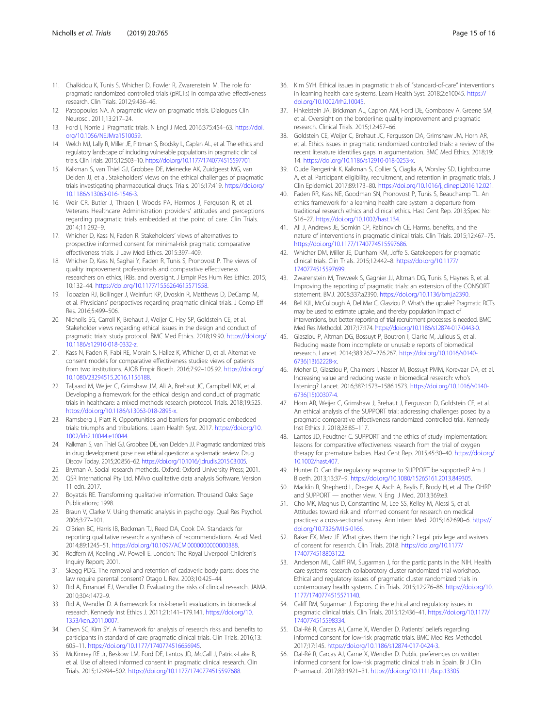- <span id="page-14-0"></span>11. Chalkidou K, Tunis S, Whicher D, Fowler R, Zwarenstein M. The role for pragmatic randomized controlled trials (pRCTs) in comparative effectiveness research. Clin Trials. 2012;9:436–46.
- 12. Patsopoulos NA. A pragmatic view on pragmatic trials. Dialogues Clin Neurosci. 2011;13:217–24.
- 13. Ford I, Norrie J. Pragmatic trials. N Engl J Med. 2016;375:454–63. [https://doi.](https://doi.org/10.1056/NEJMra1510059) [org/10.1056/NEJMra1510059.](https://doi.org/10.1056/NEJMra1510059)
- 14. Welch MJ, Lally R, Miller JE, Pittman S, Brodsky L, Caplan AL, et al. The ethics and regulatory landscape of including vulnerable populations in pragmatic clinical trials. Clin Trials. 2015;12:503–10. <https://doi.org/10.1177/1740774515597701>.
- 15. Kalkman S, van Thiel GJ, Grobbee DE, Meinecke AK, Zuidgeest MG, van Delden JJ, et al. Stakeholders' views on the ethical challenges of pragmatic trials investigating pharmaceutical drugs. Trials. 2016;17:419. [https://doi.org/](https://doi.org/10.1186/s13063-016-1546-3) [10.1186/s13063-016-1546-3.](https://doi.org/10.1186/s13063-016-1546-3)
- 16. Weir CR, Butler J, Thraen I, Woods PA, Hermos J, Ferguson R, et al. Veterans Healthcare Administration providers' attitudes and perceptions regarding pragmatic trials embedded at the point of care. Clin Trials. 2014;11:292–9.
- 17. Whicher D, Kass N, Faden R. Stakeholders' views of alternatives to prospective informed consent for minimal-risk pragmatic comparative effectiveness trials. J Law Med Ethics. 2015:397–409.
- 18. Whicher D, Kass N, Saghai Y, Faden R, Tunis S, Pronovost P. The views of quality improvement professionals and comparative effectiveness researchers on ethics, IRBs, and oversight. J Empir Res Hum Res Ethics. 2015; 10:132–44. <https://doi.org/10.1177/1556264615571558>.
- 19. Topazian RJ, Bollinger J, Weinfurt KP, Dvoskin R, Matthews D, DeCamp M, et al. Physicians' perspectives regarding pragmatic clinical trials. J Comp Eff Res. 2016;5:499–506.
- 20. Nicholls SG, Carroll K, Brehaut J, Weijer C, Hey SP, Goldstein CE, et al. Stakeholder views regarding ethical issues in the design and conduct of pragmatic trials: study protocol. BMC Med Ethics. 2018;19:90. [https://doi.org/](https://doi.org/10.1186/s12910-018-0332-z) [10.1186/s12910-018-0332-z](https://doi.org/10.1186/s12910-018-0332-z).
- 21. Kass N, Faden R, Fabi RE, Morain S, Hallez K, Whicher D, et al. Alternative consent models for comparative effectiveness studies: views of patients from two institutions. AJOB Empir Bioeth. 2016;7:92–105.92. [https://doi.org/](https://doi.org/10.1080/23294515.2016.1156188) [10.1080/23294515.2016.1156188.](https://doi.org/10.1080/23294515.2016.1156188)
- 22. Taljaard M, Weijer C, Grimshaw JM, Ali A, Brehaut JC, Campbell MK, et al. Developing a framework for the ethical design and conduct of pragmatic trials in healthcare: a mixed methods research protocol. Trials. 2018;19:525. [https://doi.org/10.1186/s13063-018-2895-x.](https://doi.org/10.1186/s13063-018-2895-x)
- 23. Ramsberg J, Platt R. Opportunities and barriers for pragmatic embedded trials: triumphs and tribulations. Learn Health Syst. 2017. [https://doi.org/10.](https://doi.org/10.1002/lrh2.10044.e10044) [1002/lrh2.10044.e10044](https://doi.org/10.1002/lrh2.10044.e10044).
- 24. Kalkman S, van Thiel GJ, Grobbee DE, van Delden JJ. Pragmatic randomized trials in drug development pose new ethical questions: a systematic review. Drug Discov Today. 2015;20:856–62. [https://doi.org/10.1016/j.drudis.2015.03.005.](https://doi.org/10.1016/j.drudis.2015.03.005)
- 25. Bryman A. Social research methods. Oxford: Oxford University Press; 2001.
- 26. QSR International Pty Ltd. NVivo qualitative data analysis Software. Version 11 edn. 2017.
- 27. Boyatzis RE. Transforming qualitative information. Thousand Oaks: Sage Publications; 1998.
- 28. Braun V, Clarke V. Using thematic analysis in psychology. Qual Res Psychol. 2006;3:77–101.
- 29. O'Brien BC, Harris IB, Beckman TJ, Reed DA, Cook DA. Standards for reporting qualitative research: a synthesis of recommendations. Acad Med. 2014;89:1245–51. [https://doi.org/10.1097/ACM.0000000000000388.](https://doi.org/10.1097/ACM.0000000000000388)
- 30. Redfern M, Keeling JW. Powell E. London: The Royal Liverpool Children's Inquiry Report; 2001.
- 31. Skegg PDG. The removal and retention of cadaveric body parts: does the law require parental consent? Otago L Rev. 2003;10:425–44.
- 32. Rid A, Emanuel EJ, Wendler D. Evaluating the risks of clinical research. JAMA. 2010;304:1472–9.
- 33. Rid A, Wendler D. A framework for risk-benefit evaluations in biomedical research. Kennedy Inst Ethics J. 2011;21:141–179.141. [https://doi.org/10.](https://doi.org/10.1353/ken.2011.0007) [1353/ken.2011.0007.](https://doi.org/10.1353/ken.2011.0007)
- 34. Chen SC, Kim SY. A framework for analysis of research risks and benefits to participants in standard of care pragmatic clinical trials. Clin Trials. 2016;13: 605–11. <https://doi.org/10.1177/1740774516656945>.
- 35. McKinney RE Jr, Beskow LM, Ford DE, Lantos JD, McCall J, Patrick-Lake B, et al. Use of altered informed consent in pragmatic clinical research. Clin Trials. 2015;12:494–502. <https://doi.org/10.1177/1740774515597688>.
- 36. Kim SYH. Ethical issues in pragmatic trials of "standard-of-care" interventions in learning health care systems. Learn Health Syst. 2018;2:e10045. [https://](https://doi.org/10.1002/lrh2.10045) [doi.org/10.1002/lrh2.10045](https://doi.org/10.1002/lrh2.10045).
- 37. Finkelstein JA, Brickman AL, Capron AM, Ford DE, Gombosev A, Greene SM, et al. Oversight on the borderline: quality improvement and pragmatic research. Clinical Trials. 2015;12:457–66.
- 38. Goldstein CE, Weijer C, Brehaut JC, Fergusson DA, Grimshaw JM, Horn AR, et al. Ethics issues in pragmatic randomized controlled trials: a review of the recent literature identifies gaps in argumentation. BMC Med Ethics. 2018;19: 14. [https://doi.org/10.1186/s12910-018-0253-x.](https://doi.org/10.1186/s12910-018-0253-x)
- 39. Oude Rengerink K, Kalkman S, Collier S, Ciaglia A, Worsley SD, Lightbourne A, et al. Participant eligibility, recruitment, and retention in pragmatic trials. J Clin Epidemiol. 2017;89:173–80. <https://doi.org/10.1016/j.jclinepi.2016.12.021>.
- 40. Faden RR, Kass NE, Goodman SN, Pronovost P, Tunis S, Beauchamp TL. An ethics framework for a learning health care system: a departure from traditional research ethics and clinical ethics. Hast Cent Rep. 2013;Spec No: S16–27. [https://doi.org/10.1002/hast.134.](https://doi.org/10.1002/hast.134)
- 41. Ali J, Andrews JE, Somkin CP, Rabinovich CE. Harms, benefits, and the nature of interventions in pragmatic clinical trials. Clin Trials. 2015;12:467–75. [https://doi.org/10.1177/1740774515597686.](https://doi.org/10.1177/1740774515597686)
- 42. Whicher DM, Miller JE, Dunham KM, Joffe S. Gatekeepers for pragmatic clinical trials. Clin Trials. 2015;12:442–8. [https://doi.org/10.1177/](https://doi.org/10.1177/1740774515597699) [1740774515597699](https://doi.org/10.1177/1740774515597699).
- 43. Zwarenstein M, Treweek S, Gagnier JJ, Altman DG, Tunis S, Haynes B, et al. Improving the reporting of pragmatic trials: an extension of the CONSORT statement. BMJ. 2008;337:a2390. <https://doi.org/10.1136/bmj.a2390>.
- 44. Bell KJL, McCullough A, Del Mar C, Glasziou P. What's the uptake? Pragmatic RCTs may be used to estimate uptake, and thereby population impact of interventions, but better reporting of trial recruitment processes is needed. BMC Med Res Methodol. 2017;17:174. <https://doi.org/10.1186/s12874-017-0443-0>.
- 45. Glasziou P, Altman DG, Bossuyt P, Boutron I, Clarke M, Julious S, et al. Reducing waste from incomplete or unusable reports of biomedical research. Lancet. 2014;383:267–276.267. [https://doi.org/10.1016/s0140-](https://doi.org/10.1016/s0140-6736(13)62228-x) [6736\(13\)62228-x](https://doi.org/10.1016/s0140-6736(13)62228-x).
- 46. Moher D, Glasziou P, Chalmers I, Nasser M, Bossuyt PMM, Korevaar DA, et al. Increasing value and reducing waste in biomedical research: who's listening? Lancet. 2016;387:1573–1586.1573. [https://doi.org/10.1016/s0140-](https://doi.org/10.1016/s0140-6736(15)00307-4) [6736\(15\)00307-4](https://doi.org/10.1016/s0140-6736(15)00307-4).
- 47. Horn AR, Weijer C, Grimshaw J, Brehaut J, Fergusson D, Goldstein CE, et al. An ethical analysis of the SUPPORT trial: addressing challenges posed by a pragmatic comparative effectiveness randomized controlled trial. Kennedy Inst Ethics J. 2018;28:85–117.
- 48. Lantos JD, Feudtner C. SUPPORT and the ethics of study implementation: lessons for comparative effectiveness research from the trial of oxygen therapy for premature babies. Hast Cent Rep. 2015;45:30–40. [https://doi.org/](https://doi.org/10.1002/hast.407) [10.1002/hast.407.](https://doi.org/10.1002/hast.407)
- Hunter D. Can the regulatory response to SUPPORT be supported? Am J Bioeth. 2013;13:37–9. <https://doi.org/10.1080/15265161.2013.849305>.
- 50. Macklin R, Shepherd L, Dreger A, Asch A, Baylis F, Brody H, et al. The OHRP and SUPPORT — another view. N Engl J Med. 2013;369:e3.
- 51. Cho MK, Magnus D, Constantine M, Lee SS, Kelley M, Alessi S, et al. Attitudes toward risk and informed consent for research on medical practices: a cross-sectional survey. Ann Intern Med. 2015;162:690–6. [https://](https://doi.org/10.7326/M15-0166) [doi.org/10.7326/M15-0166](https://doi.org/10.7326/M15-0166).
- 52. Baker FX, Merz JF. What gives them the right? Legal privilege and waivers of consent for research. Clin Trials. 2018. [https://doi.org/10.1177/](https://doi.org/10.1177/1740774518803122) [1740774518803122](https://doi.org/10.1177/1740774518803122).
- 53. Anderson ML, Califf RM, Sugarman J, for the participants in the NIH. Health care systems research collaboratory cluster randomized trial workshop. Ethical and regulatory issues of pragmatic cluster randomized trials in contemporary health systems. Clin Trials. 2015;12:276–86. [https://doi.org/10.](https://doi.org/10.1177/1740774515571140) [1177/1740774515571140](https://doi.org/10.1177/1740774515571140).
- 54. Califf RM, Sugarman J. Exploring the ethical and regulatory issues in pragmatic clinical trials. Clin Trials. 2015;12:436–41. [https://doi.org/10.1177/](https://doi.org/10.1177/1740774515598334) [1740774515598334](https://doi.org/10.1177/1740774515598334).
- 55. Dal-Ré R, Carcas AJ, Carne X, Wendler D. Patients' beliefs regarding informed consent for low-risk pragmatic trials. BMC Med Res Methodol. 2017;17:145. [https://doi.org/10.1186/s12874-017-0424-3.](https://doi.org/10.1186/s12874-017-0424-3)
- 56. Dal-Ré R, Carcas AJ, Carne X, Wendler D. Public preferences on written informed consent for low-risk pragmatic clinical trials in Spain. Br J Clin Pharmacol. 2017;83:1921–31. [https://doi.org/10.1111/bcp.13305.](https://doi.org/10.1111/bcp.13305)